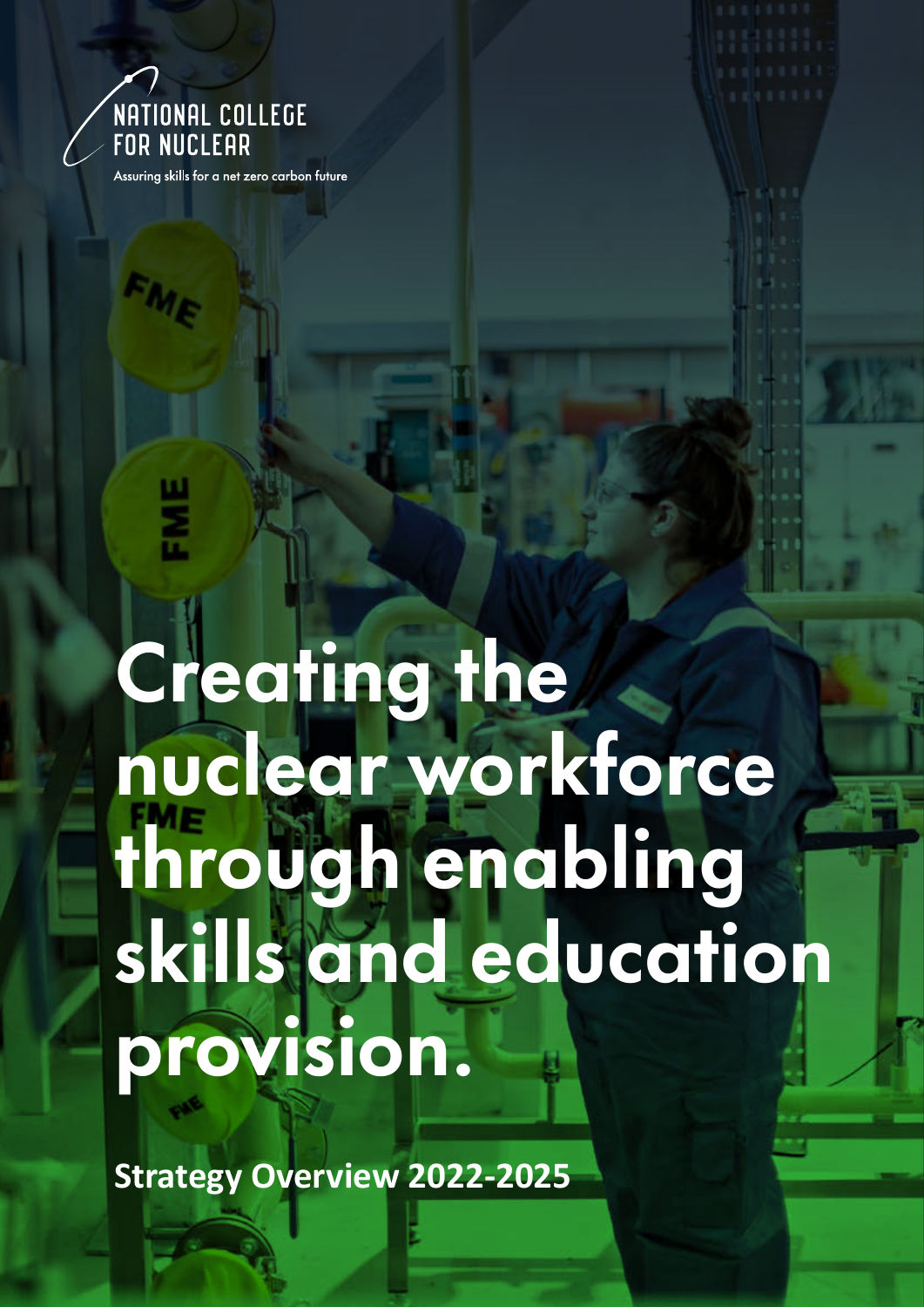

ž

Assuring skills for a net zero carbon future

# Creating the nuclear workforce through enabling skills and education provision.

**Strategy Overview 2022-2025**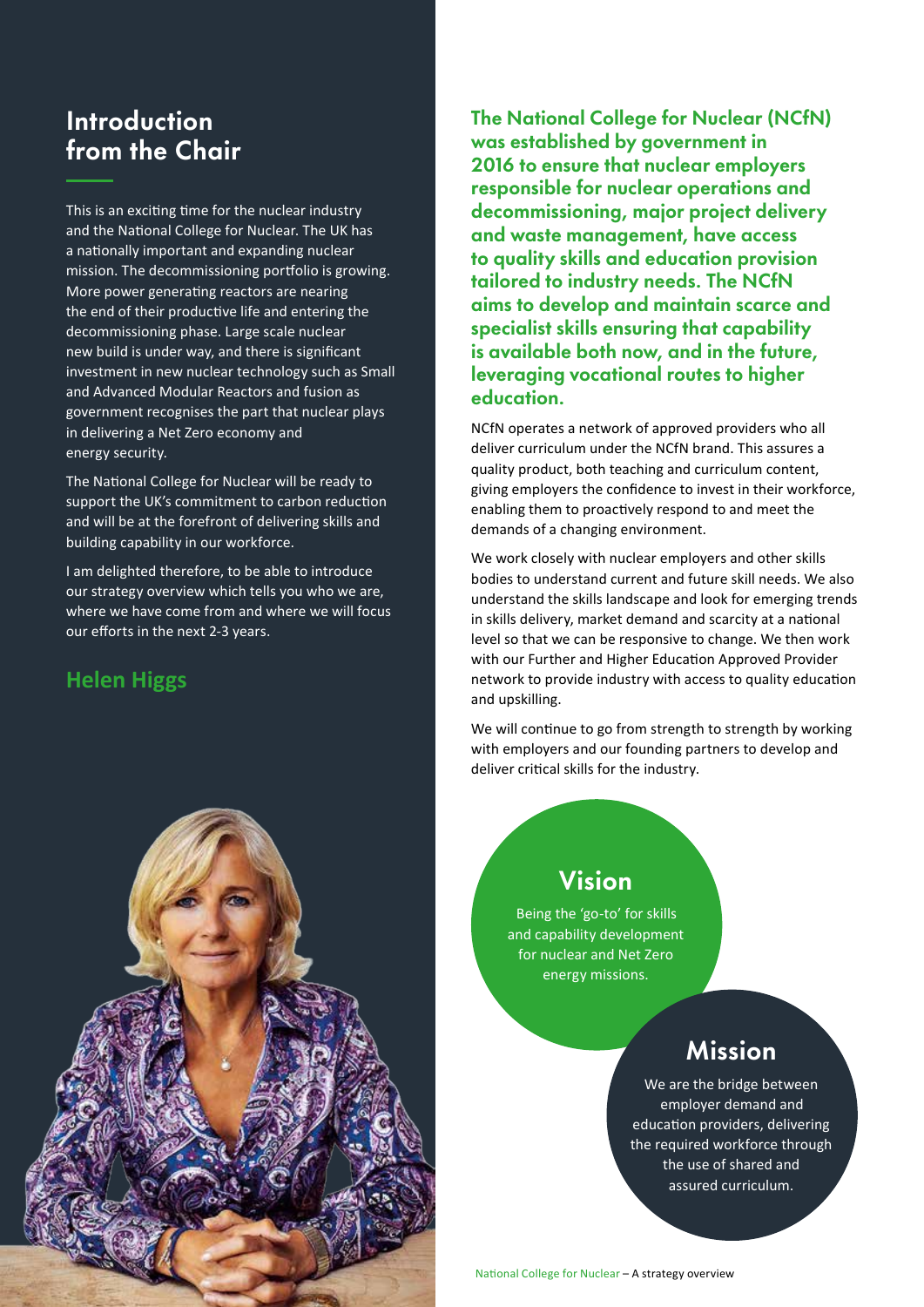# Introduction from the Chair

This is an exciting time for the nuclear industry and the National College for Nuclear. The UK has a nationally important and expanding nuclear mission. The decommissioning portfolio is growing. More power generating reactors are nearing the end of their productive life and entering the decommissioning phase. Large scale nuclear new build is under way, and there is significant investment in new nuclear technology such as Small and Advanced Modular Reactors and fusion as government recognises the part that nuclear plays in delivering a Net Zero economy and energy security.

The National College for Nuclear will be ready to support the UK's commitment to carbon reduction and will be at the forefront of delivering skills and building capability in our workforce.

I am delighted therefore, to be able to introduce our strategy overview which tells you who we are, where we have come from and where we will focus our efforts in the next 2-3 years.

### **Helen Higgs**



The National College for Nuclear (NCfN) was established by government in 2016 to ensure that nuclear employers responsible for nuclear operations and decommissioning, major project delivery and waste management, have access to quality skills and education provision tailored to industry needs. The NCfN aims to develop and maintain scarce and specialist skills ensuring that capability is available both now, and in the future, leveraging vocational routes to higher education.

NCfN operates a network of approved providers who all deliver curriculum under the NCfN brand. This assures a quality product, both teaching and curriculum content, giving employers the confidence to invest in their workforce, enabling them to proactively respond to and meet the demands of a changing environment.

We work closely with nuclear employers and other skills bodies to understand current and future skill needs. We also understand the skills landscape and look for emerging trends in skills delivery, market demand and scarcity at a national level so that we can be responsive to change. We then work with our Further and Higher Education Approved Provider network to provide industry with access to quality education and upskilling.

We will continue to go from strength to strength by working with employers and our founding partners to develop and deliver critical skills for the industry.

#### Vision

Being the 'go-to' for skills and capability development for nuclear and Net Zero energy missions.

## Mission

We are the bridge between employer demand and education providers, delivering the required workforce through the use of shared and assured curriculum.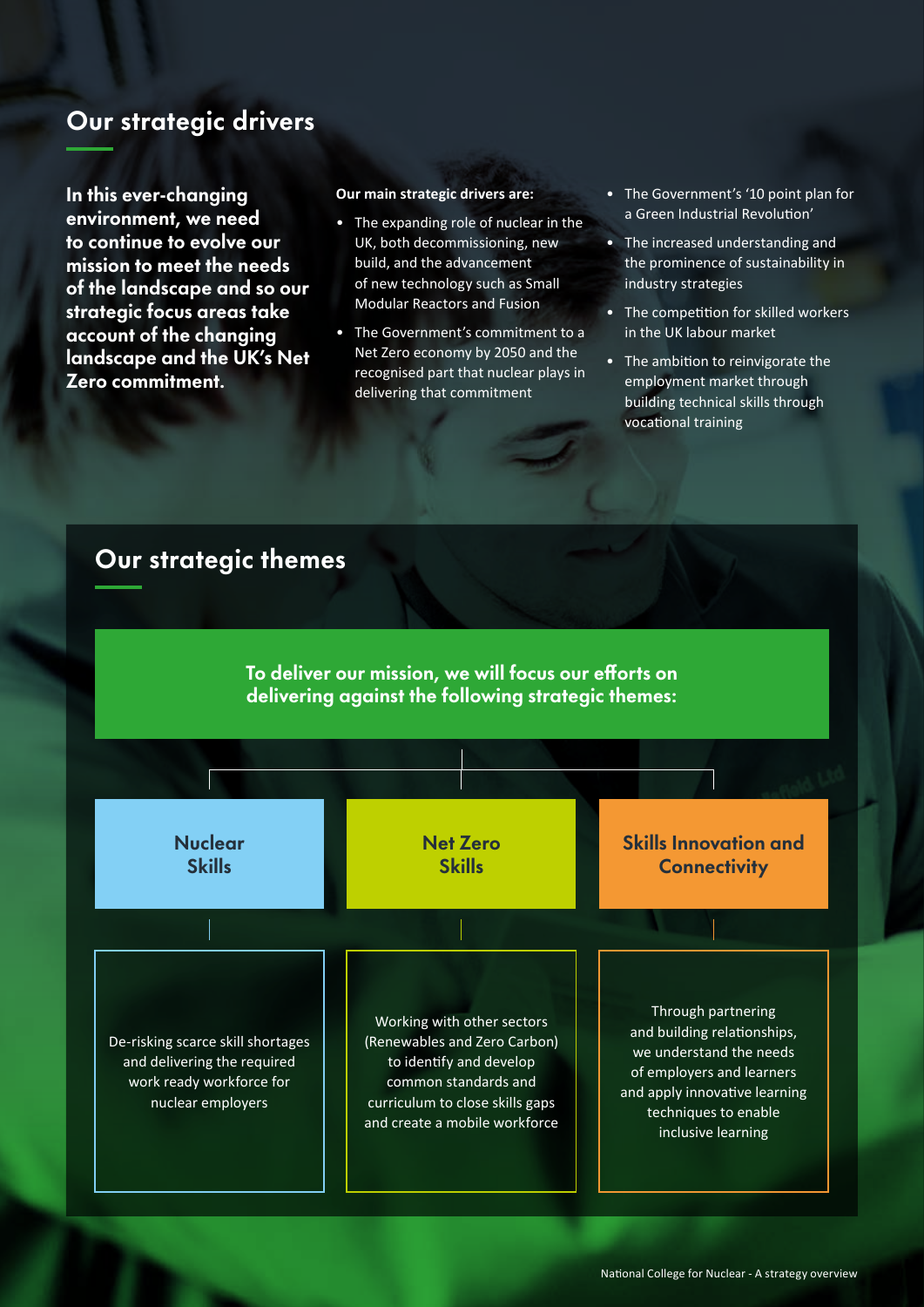#### Our strategic drivers

In this ever-changing environment, we need to continue to evolve our mission to meet the needs of the landscape and so our strategic focus areas take account of the changing landscape and the UK's Net Zero commitment.

#### **Our main strategic drivers are:**

- The expanding role of nuclear in the UK, both decommissioning, new build, and the advancement of new technology such as Small Modular Reactors and Fusion
- The Government's commitment to a Net Zero economy by 2050 and the recognised part that nuclear plays in delivering that commitment
- The Government's '10 point plan for a Green Industrial Revolution'
- The increased understanding and the prominence of sustainability in industry strategies
- The competition for skilled workers in the UK labour market
- The ambition to reinvigorate the employment market through building technical skills through vocational training